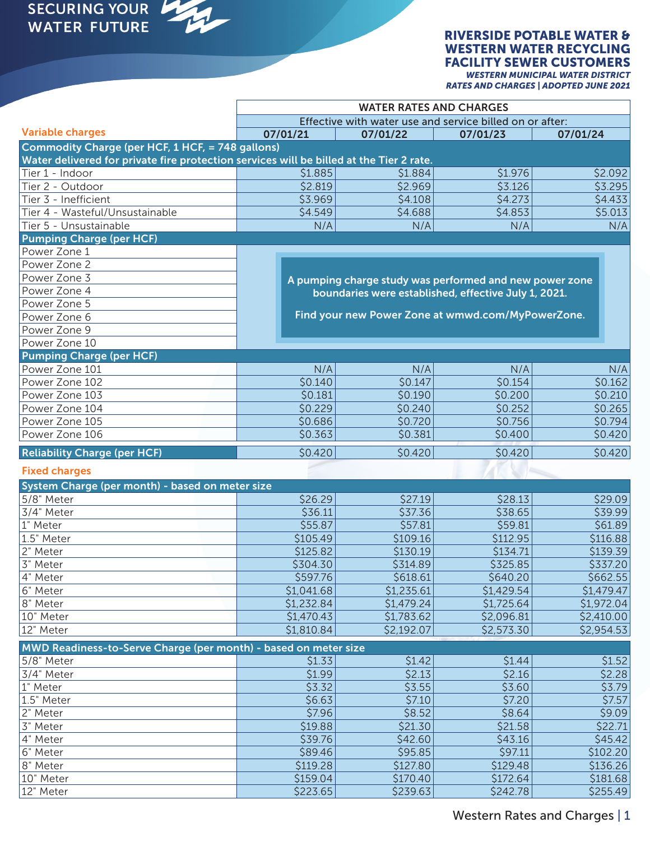M

#### RIVERSIDE POTABLE WATER & WESTERN WATER RECYCLING FACILITY SEWER CUSTOMERS *WESTERN MUNICIPAL WATER DISTRICT*

*RATES AND CHARGES | ADOPTED JUNE 2021*

|                                                                                         | <b>WATER RATES AND CHARGES</b>                           |                                                         |            |            |  |  |  |  |  |
|-----------------------------------------------------------------------------------------|----------------------------------------------------------|---------------------------------------------------------|------------|------------|--|--|--|--|--|
|                                                                                         | Effective with water use and service billed on or after: |                                                         |            |            |  |  |  |  |  |
| <b>Variable charges</b>                                                                 | 07/01/21                                                 | 07/01/22                                                | 07/01/23   | 07/01/24   |  |  |  |  |  |
| Commodity Charge (per HCF, 1 HCF, = 748 gallons)                                        |                                                          |                                                         |            |            |  |  |  |  |  |
| Water delivered for private fire protection services will be billed at the Tier 2 rate. |                                                          |                                                         |            |            |  |  |  |  |  |
| Tier 1 - Indoor                                                                         | \$1.885                                                  | \$1.884                                                 | \$1.976    | \$2.092    |  |  |  |  |  |
| Tier 2 - Outdoor                                                                        | \$2.819                                                  | \$2.969                                                 | \$3.126    | \$3.295    |  |  |  |  |  |
| Tier 3 - Inefficient                                                                    | \$3.969                                                  | \$4.108                                                 | \$4.273    | \$4.433    |  |  |  |  |  |
| Tier 4 - Wasteful/Unsustainable                                                         | \$4.549                                                  | \$4.688                                                 | \$4.853    | \$5.013    |  |  |  |  |  |
| Tier 5 - Unsustainable                                                                  | N/A                                                      | N/A                                                     | N/A        | N/A        |  |  |  |  |  |
| <b>Pumping Charge (per HCF)</b>                                                         |                                                          |                                                         |            |            |  |  |  |  |  |
| Power Zone 1                                                                            |                                                          |                                                         |            |            |  |  |  |  |  |
| Power Zone 2                                                                            |                                                          |                                                         |            |            |  |  |  |  |  |
| Power Zone 3                                                                            |                                                          | A pumping charge study was performed and new power zone |            |            |  |  |  |  |  |
| Power Zone 4                                                                            |                                                          | boundaries were established, effective July 1, 2021.    |            |            |  |  |  |  |  |
| Power Zone 5                                                                            |                                                          |                                                         |            |            |  |  |  |  |  |
| Power Zone 6                                                                            |                                                          | Find your new Power Zone at wmwd.com/MyPowerZone.       |            |            |  |  |  |  |  |
| Power Zone 9                                                                            |                                                          |                                                         |            |            |  |  |  |  |  |
| Power Zone 10                                                                           |                                                          |                                                         |            |            |  |  |  |  |  |
| <b>Pumping Charge (per HCF)</b>                                                         |                                                          |                                                         |            |            |  |  |  |  |  |
| Power Zone 101                                                                          | N/A                                                      | N/A                                                     | N/A        | N/A        |  |  |  |  |  |
| Power Zone 102                                                                          | \$0.140                                                  | \$0.147                                                 | \$0.154    | \$0.162    |  |  |  |  |  |
| Power Zone 103                                                                          | \$0.181                                                  | \$0.190                                                 | \$0.200    | \$0.210    |  |  |  |  |  |
| Power Zone 104                                                                          | \$0.229                                                  | \$0.240                                                 | \$0.252    | \$0.265    |  |  |  |  |  |
| Power Zone 105                                                                          | \$0.686                                                  | \$0.720                                                 | \$0.756    | \$0.794    |  |  |  |  |  |
| Power Zone 106                                                                          | \$0.363                                                  | \$0.381                                                 | \$0.400    | \$0.420    |  |  |  |  |  |
| <b>Reliability Charge (per HCF)</b>                                                     | \$0.420                                                  | \$0.420                                                 | \$0.420    | \$0.420    |  |  |  |  |  |
| <b>Fixed charges</b>                                                                    |                                                          |                                                         |            |            |  |  |  |  |  |
| System Charge (per month) - based on meter size                                         |                                                          |                                                         |            |            |  |  |  |  |  |
| 5/8" Meter                                                                              | \$26.29                                                  | \$27.19                                                 | \$28.13    | \$29.09    |  |  |  |  |  |
| 3/4" Meter                                                                              | \$36.11                                                  | \$37.36                                                 | \$38.65    | \$39.99    |  |  |  |  |  |
| 1" Meter                                                                                | \$55.87                                                  | \$57.81                                                 | \$59.81    | \$61.89    |  |  |  |  |  |
| 1.5" Meter                                                                              | \$105.49                                                 | \$109.16                                                | \$112.95   | \$116.88   |  |  |  |  |  |
| 2" Meter                                                                                | \$125.82                                                 | \$130.19                                                | \$134.71   | \$139.39   |  |  |  |  |  |
| 3" Meter                                                                                | \$304.30                                                 | \$314.89                                                | \$325.85   | \$337.20   |  |  |  |  |  |
| 4" Meter                                                                                | \$597.76                                                 | \$618.61                                                | \$640.20   | \$662.55   |  |  |  |  |  |
| 6" Meter                                                                                | \$1,041.68                                               | \$1,235.61                                              | \$1,429.54 | \$1,479.47 |  |  |  |  |  |
| 8" Meter                                                                                | \$1,232.84                                               | \$1,479.24                                              | \$1,725.64 | \$1,972.04 |  |  |  |  |  |
| 10" Meter                                                                               | \$1,470.43                                               | \$1,783.62                                              | \$2,096.81 | \$2,410.00 |  |  |  |  |  |
| 12" Meter                                                                               | \$1,810.84                                               | \$2,192.07                                              | \$2,573.30 | \$2,954.53 |  |  |  |  |  |
| MWD Readiness-to-Serve Charge (per month) - based on meter size                         |                                                          |                                                         |            |            |  |  |  |  |  |
| 5/8" Meter                                                                              | \$1.33                                                   | \$1.42                                                  | \$1.44     | \$1.52     |  |  |  |  |  |
| 3/4" Meter                                                                              | \$1.99                                                   | \$2.13                                                  | \$2.16     | \$2.28     |  |  |  |  |  |
| 1" Meter                                                                                | \$3.32                                                   | \$3.55                                                  | \$3.60     | \$3.79     |  |  |  |  |  |
| 1.5" Meter                                                                              | \$6.63                                                   | \$7.10                                                  | \$7.20     | \$7.57     |  |  |  |  |  |
| 2" Meter                                                                                | \$7.96                                                   | \$8.52                                                  | \$8.64     | \$9.09     |  |  |  |  |  |
| 3" Meter                                                                                | \$19.88                                                  | \$21.30                                                 | \$21.58    | \$22.71    |  |  |  |  |  |
| 4" Meter                                                                                | \$39.76                                                  | \$42.60                                                 | \$43.16    | \$45.42    |  |  |  |  |  |
| 6" Meter                                                                                | \$89.46                                                  | \$95.85                                                 | \$97.11    | \$102.20   |  |  |  |  |  |
| 8" Meter                                                                                | \$119.28                                                 | \$127.80                                                | \$129.48   | \$136.26   |  |  |  |  |  |
| 10" Meter                                                                               | \$159.04                                                 | \$170.40                                                | \$172.64   | \$181.68   |  |  |  |  |  |
| 12" Meter                                                                               | \$223.65                                                 | \$239.63                                                | \$242.78   | \$255.49   |  |  |  |  |  |

Western Rates and Charges | 1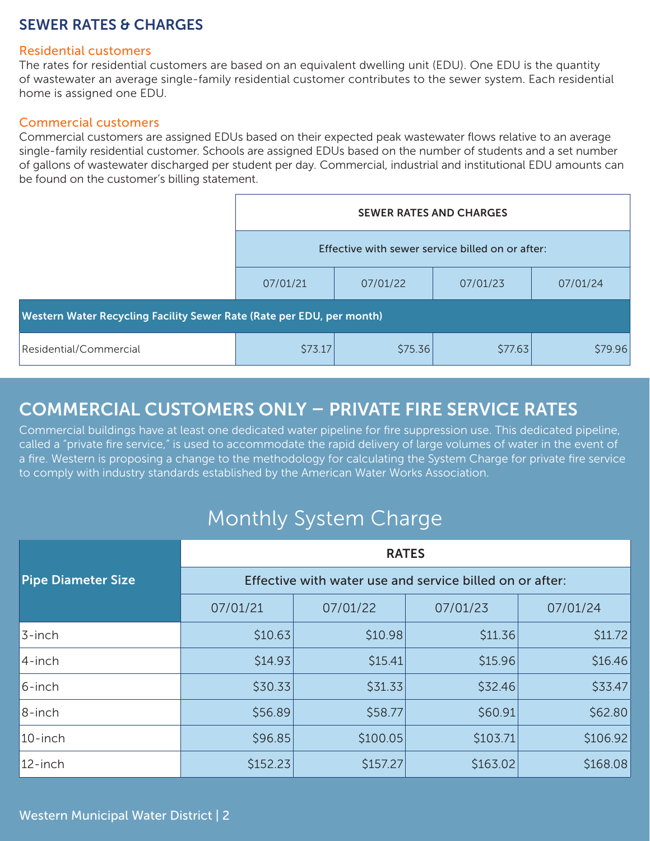## SEWER RATES & CHARGES

#### Residential customers

The rates for residential customers are based on an equivalent dwelling unit (EDU). One EDU is the quantity of wastewater an average single-family residential customer contributes to the sewer system. Each residential home is assigned one EDU.

#### Commercial customers

Commercial customers are assigned EDUs based on their expected peak wastewater flows relative to an average single-family residential customer. Schools are assigned EDUs based on the number of students and a set number of gallons of wastewater discharged per student per day. Commercial, industrial and institutional EDU amounts can be found on the customer's billing statement.

|                                                                       | <b>SEWER RATES AND CHARGES</b><br>Effective with sewer service billed on or after: |          |          |          |  |  |  |  |
|-----------------------------------------------------------------------|------------------------------------------------------------------------------------|----------|----------|----------|--|--|--|--|
|                                                                       |                                                                                    |          |          |          |  |  |  |  |
|                                                                       | 07/01/21                                                                           | 07/01/22 | 07/01/23 | 07/01/24 |  |  |  |  |
| Western Water Recycling Facility Sewer Rate (Rate per EDU, per month) |                                                                                    |          |          |          |  |  |  |  |
| Residential/Commercial                                                | \$73.17                                                                            | \$75.36  | \$77.63  | \$79.96  |  |  |  |  |

## COMMERCIAL CUSTOMERS ONLY – PRIVATE FIRE SERVICE RATES

Commercial buildings have at least one dedicated water pipeline for fire suppression use. This dedicated pipeline, called a "private fire service," is used to accommodate the rapid delivery of large volumes of water in the event of a fire. Western is proposing a change to the methodology for calculating the System Charge for private fire service to comply with industry standards established by the American Water Works Association.

# Monthly System Charge

|                           | <b>RATES</b>                                             |          |          |          |  |  |
|---------------------------|----------------------------------------------------------|----------|----------|----------|--|--|
| <b>Pipe Diameter Size</b> | Effective with water use and service billed on or after: |          |          |          |  |  |
|                           | 07/01/21                                                 | 07/01/22 | 07/01/23 | 07/01/24 |  |  |
| 3-inch                    | \$10.63                                                  | \$10.98  | \$11.36  | \$11.72  |  |  |
| 4-inch                    | \$14.93                                                  | \$15.41  | \$15.96  | \$16.46  |  |  |
| 6-inch                    | \$30.33                                                  | \$31.33  | \$32.46  | \$33.47  |  |  |
| 8-inch                    | \$56.89                                                  | \$58.77  | \$60.91  | \$62.80  |  |  |
| $10$ -inch                | \$96.85                                                  | \$100.05 | \$103.71 | \$106.92 |  |  |
| 12-inch                   | \$152.23                                                 | \$157.27 | \$163.02 | \$168.08 |  |  |